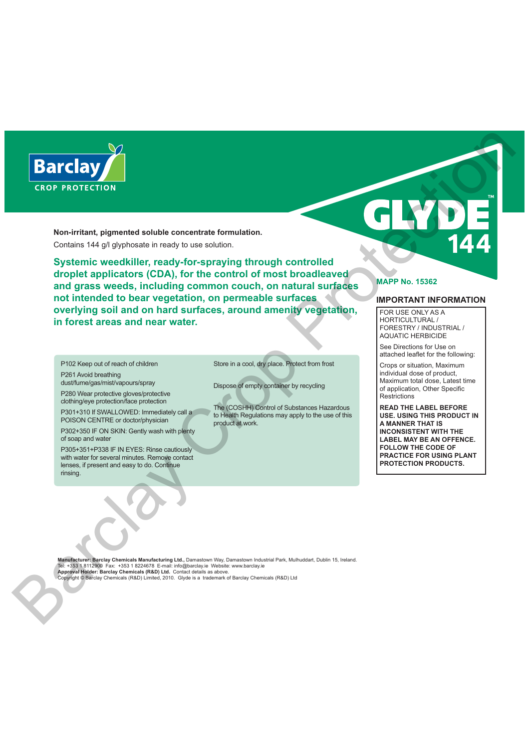

**Non-irritant, pigmented soluble concentrate formulation.** Contains 144 g/l glyphosate in ready to use solution.

**Systemic weedkiller, ready-for-spraying through controlled droplet applicators (CDA), for the control of most broadleaved and grass weeds, including common couch, on natural surfaces not intended to bear vegetation, on permeable surfaces overlying soil and on hard surfaces, around amenity vegetation, in forest areas and near water.**  $\begin{array}{|c|c|c|c|c|c|}\n \hline \textbf{Barclay} & \textbf{Bac} & \textbf{Bac} & \textbf{Bac} & \textbf{Bac} & \textbf{Bac} & \textbf{Bac} & \textbf{Bac} & \textbf{Bac} & \textbf{Bac} & \textbf{Bac} & \textbf{Bac} & \textbf{Bac} & \textbf{Bac} & \textbf{Bac} & \textbf{Bac} & \textbf{Bac} & \textbf{Bac} & \textbf{Bac} & \textbf{Bac} & \textbf{Bac} & \textbf{Bac} & \textbf{Bac} & \textbf{Bac} & \textbf{$ 

P102 Keep out of reach of children P261 Avoid breathing dust/fume/gas/mist/vapours/spray

P280 Wear protective gloves/protective clothing/eye protection/face protection

P301+310 If SWALLOWED: Immediately call a POISON CENTRE or doctor/physician

P302+350 IF ON SKIN: Gently wash with plenty of soap and water

P305+351+P338 IF IN EYES: Rinse cautiously with water for several minutes. Remove contact lenses, if present and easy to do. Continue rinsing.

Store in a cool, dry place. Protect from frost

Dispose of empty container by recycling

The (COSHH) Control of Substances Hazardous to Health Regulations may apply to the use of this product at work.

# **MAPP No. 15362**

# **IMPORTANT INFORMATION**

FOR USE ONLY AS A HORTICULTURAL FORESTRY / INDUSTRIAL / AQUATIC HERBICIDE

See Directions for Use on attached leaflet for the following:

Crops or situation, Maximum individual dose of product, Maximum total dose, Latest time of application, Other Specific **Restrictions** 

**READ THE LABEL BEFORE USE. USING THIS PRODUCT IN A MANNER THAT IS INCONSISTENT WITH THE LABEL MAY BE AN OFFENCE. FOLLOW THE CODE OF PRACTICE FOR USING PLANT PROTECTION PRODUCTS.**

**Manufacturer: Barclay Chemicals Manufacturing Ltd.,** Damastown Way, Damastown Industrial Park, Mulhuddart, Dublin 15, Ireland. Tel: +353 1 8112900 Fax: +353 1 8224678 E-mail: info@barclay.ie Website: www.barclay.ie **Approval Holder: Barclay Chemicals (R&D) Ltd.** Contact details as above.

Copyright © Barclay Chemicals (R&D) Limited, 2010. Glyde is a trademark of Barclay Chemicals (R&D) Ltd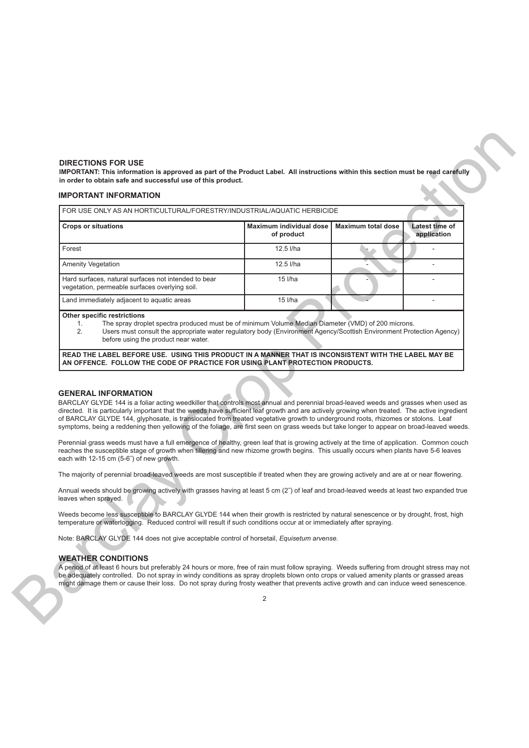### **DIRECTIONS FOR USE**

## **IMPORTANT INFORMATION**

| <b>IMPORTANT INFORMATION</b>                                                                                                                                                                                                                                                                                                                                                                                                                                                                                                                                                                         |                                       |                           |                               |
|------------------------------------------------------------------------------------------------------------------------------------------------------------------------------------------------------------------------------------------------------------------------------------------------------------------------------------------------------------------------------------------------------------------------------------------------------------------------------------------------------------------------------------------------------------------------------------------------------|---------------------------------------|---------------------------|-------------------------------|
| FOR USE ONLY AS AN HORTICULTURAL/FORESTRY/INDUSTRIAL/AQUATIC HERBICIDE                                                                                                                                                                                                                                                                                                                                                                                                                                                                                                                               |                                       |                           |                               |
| <b>Crops or situations</b>                                                                                                                                                                                                                                                                                                                                                                                                                                                                                                                                                                           | Maximum individual dose<br>of product | <b>Maximum total dose</b> | Latest time of<br>application |
| Forest                                                                                                                                                                                                                                                                                                                                                                                                                                                                                                                                                                                               | 12.5 l/ha                             |                           | $\overline{\phantom{a}}$      |
| <b>Amenity Vegetation</b>                                                                                                                                                                                                                                                                                                                                                                                                                                                                                                                                                                            | 12.5 l/ha                             |                           | ÷,                            |
| Hard surfaces, natural surfaces not intended to bear<br>vegetation, permeable surfaces overlying soil.                                                                                                                                                                                                                                                                                                                                                                                                                                                                                               | 15 l/ha                               |                           |                               |
| Land immediately adjacent to aquatic areas                                                                                                                                                                                                                                                                                                                                                                                                                                                                                                                                                           | 15 l/ha                               |                           |                               |
| before using the product near water.<br>READ THE LABEL BEFORE USE. USING THIS PRODUCT IN A MANNER THAT IS INCONSISTENT WITH THE LABEL MAY BE<br>AN OFFENCE. FOLLOW THE CODE OF PRACTICE FOR USING PLANT PROTECTION PRODUCTS.                                                                                                                                                                                                                                                                                                                                                                         |                                       |                           |                               |
| <b>GENERAL INFORMATION</b><br>BARCLAY GLYDE 144 is a foliar acting weedkiller that controls most annual and perennial broad-leaved weeds and grasses when used as<br>directed. It is particularly important that the weeds have sufficient leaf growth and are actively growing when treated. The active ingredient<br>of BARCLAY GLYDE 144, glyphosate, is translocated from treated vegetative growth to underground roots, rhizomes or stolons. Leaf<br>symptoms, being a reddening then yellowing of the foliage, are first seen on grass weeds but take longer to appear on broad-leaved weeds. |                                       |                           |                               |
| Perennial grass weeds must have a full emergence of healthy, green leaf that is growing actively at the time of application. Common couch<br>reaches the susceptible stage of growth when tillering and new rhizome growth begins. This usually occurs when plants have 5-6 leaves<br>each with 12-15 cm (5-6") of new growth.                                                                                                                                                                                                                                                                       |                                       |                           |                               |
| The majority of perennial broad-leaved weeds are most susceptible if treated when they are growing actively and are at or near flowering.                                                                                                                                                                                                                                                                                                                                                                                                                                                            |                                       |                           |                               |
| Annual weeds should be growing actively with grasses having at least 5 cm (2") of leaf and broad-leaved weeds at least two expanded true<br>leaves when sprayed.                                                                                                                                                                                                                                                                                                                                                                                                                                     |                                       |                           |                               |
| Weeds become less susceptible to BARCLAY GLYDE 144 when their growth is restricted by natural senescence or by drought, frost, high<br>temperature or waterlogging. Reduced control will result if such conditions occur at or immediately after spraying.                                                                                                                                                                                                                                                                                                                                           |                                       |                           |                               |
| Note: BARCLAY GLYDE 144 does not give acceptable control of horsetail, <i>Equisetum arvense</i> .                                                                                                                                                                                                                                                                                                                                                                                                                                                                                                    |                                       |                           |                               |

#### **Other specific restrictions**

- 1. The spray droplet spectra produced must be of minimum Volume Median Diameter (VMD) of 200 microns.
- 2. Users must consult the appropriate water regulatory body (Environment Agency/Scottish Environment Protection Agency) before using the product near water.

### **GENERAL INFORMATION**

## **WEATHER CONDITIONS**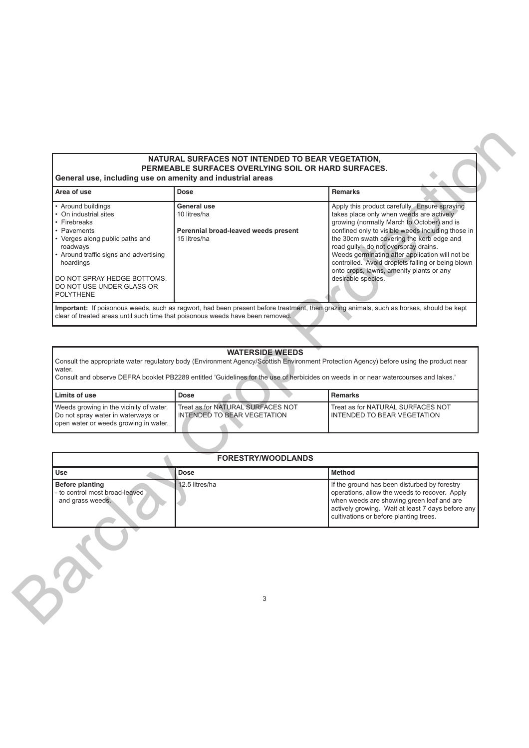# **NATURAL SURFACES NOT INTENDED TO BEAR VEGETATION, PERMEABLE SURFACES OVERLYING SOIL OR HARD SURFACES.**

| Area of use                                                                                                                                                                                                                                                    | <b>Dose</b>                                                                                                                          | <b>Remarks</b>                                                                                                                                                                                                                                                                                                                                                                                                                                               |
|----------------------------------------------------------------------------------------------------------------------------------------------------------------------------------------------------------------------------------------------------------------|--------------------------------------------------------------------------------------------------------------------------------------|--------------------------------------------------------------------------------------------------------------------------------------------------------------------------------------------------------------------------------------------------------------------------------------------------------------------------------------------------------------------------------------------------------------------------------------------------------------|
| • Around buildings<br>On industrial sites<br>• Firebreaks<br>• Pavements<br>• Verges along public paths and<br>roadways<br>• Around traffic signs and advertising<br>hoardings<br>DO NOT SPRAY HEDGE BOTTOMS.<br>DO NOT USE UNDER GLASS OR<br><b>POLYTHENE</b> | General use<br>10 litres/ha<br>Perennial broad-leaved weeds present<br>15 litres/ha                                                  | Apply this product carefully. Ensure spraying<br>takes place only when weeds are actively<br>growing (normally March to October) and is<br>confined only to visible weeds including those in<br>the 30cm swath covering the kerb edge and<br>road gully - do not overspray drains.<br>Weeds germinating after application will not be<br>controlled. Avoid droplets falling or being blown<br>onto crops, lawns, amenity plants or any<br>desirable species. |
|                                                                                                                                                                                                                                                                | clear of treated areas until such time that poisonous weeds have been removed.                                                       | Important: If poisonous weeds, such as ragwort, had been present before treatment, then grazing animals, such as horses, should be kept                                                                                                                                                                                                                                                                                                                      |
|                                                                                                                                                                                                                                                                |                                                                                                                                      |                                                                                                                                                                                                                                                                                                                                                                                                                                                              |
|                                                                                                                                                                                                                                                                |                                                                                                                                      |                                                                                                                                                                                                                                                                                                                                                                                                                                                              |
|                                                                                                                                                                                                                                                                |                                                                                                                                      |                                                                                                                                                                                                                                                                                                                                                                                                                                                              |
|                                                                                                                                                                                                                                                                |                                                                                                                                      |                                                                                                                                                                                                                                                                                                                                                                                                                                                              |
|                                                                                                                                                                                                                                                                | <b>WATERSIDE WEEDS</b>                                                                                                               |                                                                                                                                                                                                                                                                                                                                                                                                                                                              |
|                                                                                                                                                                                                                                                                |                                                                                                                                      | Consult the appropriate water regulatory body (Environment Agency/Scottish Environment Protection Agency) before using the product near                                                                                                                                                                                                                                                                                                                      |
| water.                                                                                                                                                                                                                                                         |                                                                                                                                      |                                                                                                                                                                                                                                                                                                                                                                                                                                                              |
|                                                                                                                                                                                                                                                                | Consult and observe DEFRA booklet PB2289 entitled 'Guidelines for the use of herbicides on weeds in or near watercourses and lakes.' |                                                                                                                                                                                                                                                                                                                                                                                                                                                              |
| Limits of use                                                                                                                                                                                                                                                  | <b>Dose</b>                                                                                                                          | <b>Remarks</b>                                                                                                                                                                                                                                                                                                                                                                                                                                               |
| Weeds growing in the vicinity of water.<br>Do not spray water in waterways or<br>open water or weeds growing in water.                                                                                                                                         | Treat as for NATURAL SURFACES NOT<br>INTENDED TO BEAR VEGETATION                                                                     | Treat as for NATURAL SURFACES NOT<br>INTENDED TO BEAR VEGETATION                                                                                                                                                                                                                                                                                                                                                                                             |
|                                                                                                                                                                                                                                                                |                                                                                                                                      |                                                                                                                                                                                                                                                                                                                                                                                                                                                              |
|                                                                                                                                                                                                                                                                | <b>FORESTRY/WOODLANDS</b>                                                                                                            |                                                                                                                                                                                                                                                                                                                                                                                                                                                              |
| <b>Use</b>                                                                                                                                                                                                                                                     | <b>Dose</b>                                                                                                                          | <b>Method</b>                                                                                                                                                                                                                                                                                                                                                                                                                                                |
| <b>Before planting</b><br>- to control most broad-leaved<br>and grass weeds.                                                                                                                                                                                   | 12.5 litres/ha                                                                                                                       | If the ground has been disturbed by forestry<br>operations, allow the weeds to recover. Apply<br>when weeds are showing green leaf and are<br>actively growing. Wait at least 7 days before any<br>cultivations or before planting trees.                                                                                                                                                                                                                    |

# **WATERSIDE WEEDS**

| l Limits of use                                                                                                        | <b>Dose</b>                                                               | Remarks                                                            |
|------------------------------------------------------------------------------------------------------------------------|---------------------------------------------------------------------------|--------------------------------------------------------------------|
| Weeds growing in the vicinity of water.<br>Do not spray water in waterways or<br>open water or weeds growing in water. | Treat as for NATURAL SURFACES NOT<br><b>I INTENDED TO BEAR VEGETATION</b> | Treat as for NATURAL SURFACES NOT<br>I INTENDED TO BEAR VEGETATION |

| <b>FORESTRY/WOODLANDS</b>                                                    |                |                                                                                                                                                                                                                                           |
|------------------------------------------------------------------------------|----------------|-------------------------------------------------------------------------------------------------------------------------------------------------------------------------------------------------------------------------------------------|
| Use                                                                          | <b>Dose</b>    | <b>Method</b>                                                                                                                                                                                                                             |
| <b>Before planting</b><br>- to control most broad-leaved<br>and grass weeds. | 12.5 litres/ha | If the ground has been disturbed by forestry<br>operations, allow the weeds to recover. Apply<br>when weeds are showing green leaf and are<br>actively growing. Wait at least 7 days before any<br>cultivations or before planting trees. |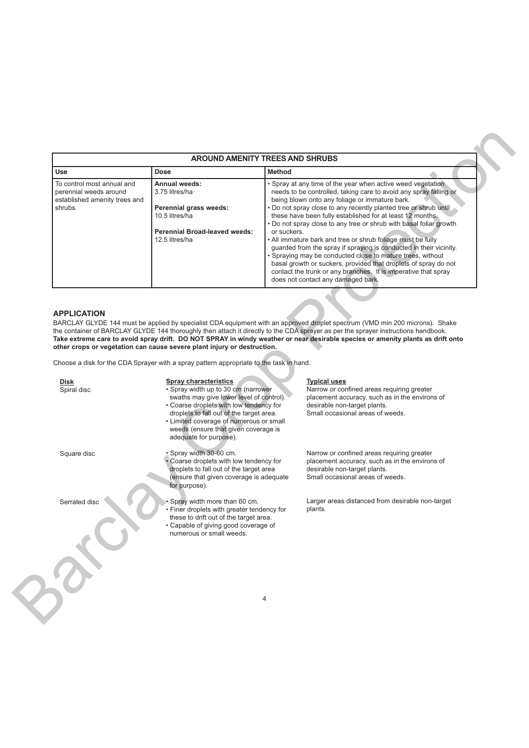| <b>AROUND AMENITY TREES AND SHRUBS</b>                                                           |                                                                                                                                       |                                                                                                                                                                                                                                                                                                                                                                                                                                                                                                                                                                                                                                                                                                                                                                                        |
|--------------------------------------------------------------------------------------------------|---------------------------------------------------------------------------------------------------------------------------------------|----------------------------------------------------------------------------------------------------------------------------------------------------------------------------------------------------------------------------------------------------------------------------------------------------------------------------------------------------------------------------------------------------------------------------------------------------------------------------------------------------------------------------------------------------------------------------------------------------------------------------------------------------------------------------------------------------------------------------------------------------------------------------------------|
| <b>Use</b>                                                                                       | Dose                                                                                                                                  | <b>Method</b>                                                                                                                                                                                                                                                                                                                                                                                                                                                                                                                                                                                                                                                                                                                                                                          |
| To control most annual and<br>perennial weeds around<br>established amenity trees and<br>shrubs. | Annual weeds:<br>3.75 litres/ha<br>Perennial grass weeds:<br>10.5 litres/ha<br><b>Perennial Broad-leaved weeds:</b><br>12.5 litres/ha | • Spray at any time of the year when active weed vegetation<br>needs to be controlled, taking care to avoid any spray falling or<br>being blown onto any foliage or immature bark.<br>. Do not spray close to any recently planted tree or shrub until<br>these have been fully established for at least 12 months.<br>. Do not spray close to any tree or shrub with basal foliar growth<br>or suckers.<br>. All immature bark and tree or shrub foliage must be fully<br>guarded from the spray if spraying is conducted in their vicinity.<br>• Spraying may be conducted close to mature trees, without<br>basal growth or suckers, provided that droplets of spray do not<br>contact the trunk or any branches. It is imperative that spray<br>does not contact any damaged bark. |

# **APPLICATION**

|                                                                                                  |                                                                                                                                                                                                                                                                                                                                  | <b>AROUND AMENITY TREES AND SHRUBS</b>                                                                                                                                                                                                                                                                                                                                                                                                                                                                                                                                                                                                                                                                                                                                           |
|--------------------------------------------------------------------------------------------------|----------------------------------------------------------------------------------------------------------------------------------------------------------------------------------------------------------------------------------------------------------------------------------------------------------------------------------|----------------------------------------------------------------------------------------------------------------------------------------------------------------------------------------------------------------------------------------------------------------------------------------------------------------------------------------------------------------------------------------------------------------------------------------------------------------------------------------------------------------------------------------------------------------------------------------------------------------------------------------------------------------------------------------------------------------------------------------------------------------------------------|
| <b>Use</b>                                                                                       | <b>Dose</b>                                                                                                                                                                                                                                                                                                                      | <b>Method</b>                                                                                                                                                                                                                                                                                                                                                                                                                                                                                                                                                                                                                                                                                                                                                                    |
| To control most annual and<br>perennial weeds around<br>established amenity trees and<br>shrubs. | <b>Annual weeds:</b><br>3.75 litres/ha<br>Perennial grass weeds:<br>10.5 litres/ha<br><b>Perennial Broad-leaved weeds:</b><br>12.5 litres/ha                                                                                                                                                                                     | Spray at any time of the year when active weed vegetation<br>needs to be controlled, taking care to avoid any spray falling or<br>being blown onto any foliage or immature bark.<br>. Do not spray close to any recently planted tree or shrub until<br>these have been fully established for at least 12 months.<br>Do not spray close to any tree or shrub with basal foliar growth<br>or suckers.<br>. All immature bark and tree or shrub foliage must be fully<br>guarded from the spray if spraying is conducted in their vicinity.<br>Spraying may be conducted close to mature trees, without<br>basal growth or suckers, provided that droplets of spray do not<br>contact the trunk or any branches. It is imperative that spray<br>does not contact any damaged bark. |
| <b>APPLICATION</b><br><b>Disk</b><br>Spiral disc                                                 | other crops or vegetation can cause severe plant injury or destruction.<br>Choose a disk for the CDA Sprayer with a spray pattern appropriate to the task in hand.<br><b>Spray characteristics</b><br>· Spray width up to 30 cm (narrower<br>swaths may give lower level of control).<br>• Coarse droplets with low tendency for | BARCLAY GLYDE 144 must be applied by specialist CDA equipment with an approved droplet spectrum (VMD min 200 microns). Shake<br>the container of BARCLAY GLYDE 144 thoroughly then attach it directly to the CDA sprayer as per the sprayer instructions handbook.<br>Take extreme care to avoid spray drift. DO NOT SPRAY in windy weather or near desirable species or amenity plants as drift onto<br><b>Typical uses</b><br>Narrow or confined areas requiring greater<br>placement accuracy, such as in the environs of<br>desirable non-target plants.                                                                                                                                                                                                                     |
|                                                                                                  | droplets to fall out of the target area.<br>• Limited coverage of numerous or small<br>weeds (ensure that given coverage is<br>adequate for purpose).                                                                                                                                                                            | Small occasional areas of weeds.                                                                                                                                                                                                                                                                                                                                                                                                                                                                                                                                                                                                                                                                                                                                                 |
| Square disc                                                                                      | . Spray width 30-60 cm.<br>• Coarse droplets with low tendency for<br>droplets to fall out of the target area<br>(ensure that given coverage is adequate<br>for purpose).                                                                                                                                                        | Narrow or confined areas requiring greater<br>placement accuracy, such as in the environs of<br>desirable non-target plants.<br>Small occasional areas of weeds.                                                                                                                                                                                                                                                                                                                                                                                                                                                                                                                                                                                                                 |
| Serrated disc                                                                                    | Spray width more than 60 cm.<br>• Finer droplets with greater tendency for<br>these to drift out of the target area.<br>• Capable of giving good coverage of<br>numerous or small weeds.                                                                                                                                         | Larger areas distanced from desirable non-target<br>plants.                                                                                                                                                                                                                                                                                                                                                                                                                                                                                                                                                                                                                                                                                                                      |
|                                                                                                  |                                                                                                                                                                                                                                                                                                                                  |                                                                                                                                                                                                                                                                                                                                                                                                                                                                                                                                                                                                                                                                                                                                                                                  |